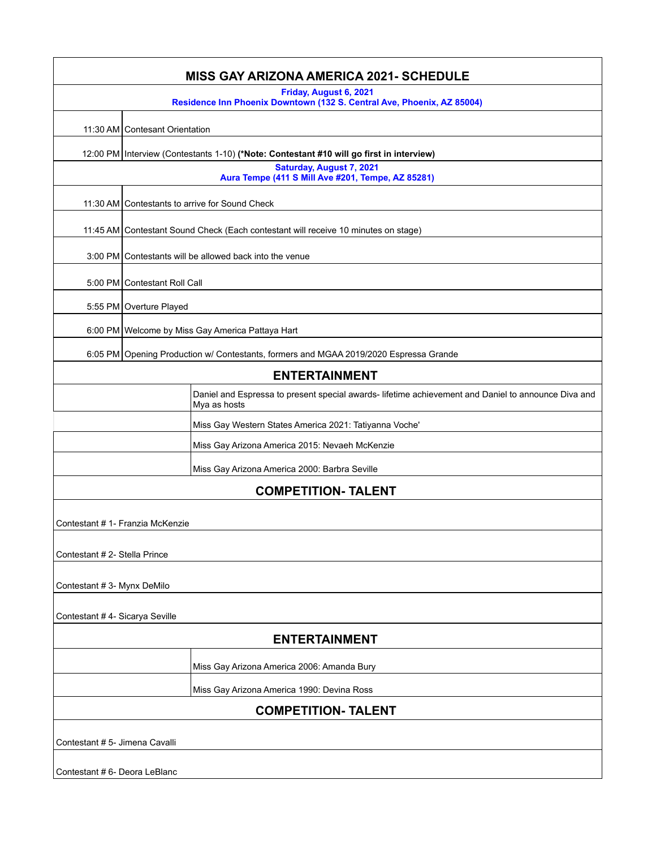| <b>MISS GAY ARIZONA AMERICA 2021- SCHEDULE</b>                                                                |                                                                                                     |  |  |
|---------------------------------------------------------------------------------------------------------------|-----------------------------------------------------------------------------------------------------|--|--|
| Friday, August 6, 2021<br>Residence Inn Phoenix Downtown (132 S. Central Ave, Phoenix, AZ 85004)              |                                                                                                     |  |  |
| 11:30 AM   Contesant Orientation                                                                              |                                                                                                     |  |  |
| 12:00 PM   Interview (Contestants 1-10) (*Note: Contestant #10 will go first in interview)                    |                                                                                                     |  |  |
| <b>Saturday, August 7, 2021</b><br>Aura Tempe (411 S Mill Ave #201, Tempe, AZ 85281)                          |                                                                                                     |  |  |
|                                                                                                               | 11:30 AM Contestants to arrive for Sound Check                                                      |  |  |
|                                                                                                               | 11:45 AM   Contestant Sound Check (Each contestant will receive 10 minutes on stage)                |  |  |
|                                                                                                               | 3:00 PM Contestants will be allowed back into the venue                                             |  |  |
| 5:00 PM   Contestant Roll Call                                                                                |                                                                                                     |  |  |
|                                                                                                               |                                                                                                     |  |  |
| 5:55 PM Overture Played                                                                                       |                                                                                                     |  |  |
|                                                                                                               | 6:00 PM Welcome by Miss Gay America Pattaya Hart                                                    |  |  |
| 6:05 PM Opening Production w/ Contestants, formers and MGAA 2019/2020 Espressa Grande<br><b>ENTERTAINMENT</b> |                                                                                                     |  |  |
|                                                                                                               | Daniel and Espressa to present special awards- lifetime achievement and Daniel to announce Diva and |  |  |
|                                                                                                               | Mya as hosts<br>Miss Gay Western States America 2021: Tatiyanna Voche'                              |  |  |
| Miss Gay Arizona America 2015: Nevaeh McKenzie                                                                |                                                                                                     |  |  |
|                                                                                                               | Miss Gay Arizona America 2000: Barbra Seville                                                       |  |  |
| <b>COMPETITION- TALENT</b>                                                                                    |                                                                                                     |  |  |
|                                                                                                               |                                                                                                     |  |  |
| Contestant # 1- Franzia McKenzie                                                                              |                                                                                                     |  |  |
| Contestant # 2- Stella Prince                                                                                 |                                                                                                     |  |  |
| Contestant #3- Mynx DeMilo                                                                                    |                                                                                                     |  |  |
| Contestant #4- Sicarya Seville                                                                                |                                                                                                     |  |  |
| <b>ENTERTAINMENT</b>                                                                                          |                                                                                                     |  |  |
|                                                                                                               | Miss Gay Arizona America 2006: Amanda Bury                                                          |  |  |
|                                                                                                               | Miss Gay Arizona America 1990: Devina Ross                                                          |  |  |
| <b>COMPETITION- TALENT</b>                                                                                    |                                                                                                     |  |  |
| Contestant # 5- Jimena Cavalli                                                                                |                                                                                                     |  |  |
| Contestant # 6- Deora LeBlanc                                                                                 |                                                                                                     |  |  |